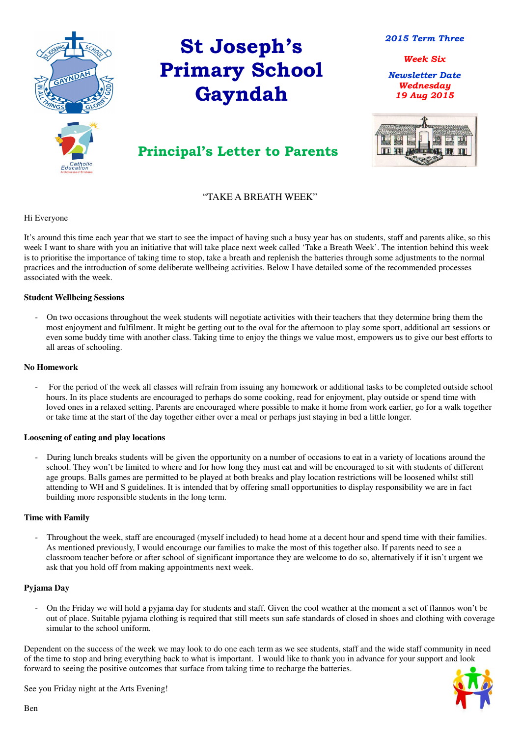

## St Joseph's Primary School Gayndah

Newsletter Date Wednesday 19 Aug 2015



Principal's Letter to Parents

2015 Term Three

Week Six

#### "TAKE A BREATH WEEK"

Hi Everyone

It's around this time each year that we start to see the impact of having such a busy year has on students, staff and parents alike, so this week I want to share with you an initiative that will take place next week called 'Take a Breath Week'. The intention behind this week is to prioritise the importance of taking time to stop, take a breath and replenish the batteries through some adjustments to the normal practices and the introduction of some deliberate wellbeing activities. Below I have detailed some of the recommended processes associated with the week.

#### **Student Wellbeing Sessions**

- On two occasions throughout the week students will negotiate activities with their teachers that they determine bring them the most enjoyment and fulfilment. It might be getting out to the oval for the afternoon to play some sport, additional art sessions or even some buddy time with another class. Taking time to enjoy the things we value most, empowers us to give our best efforts to all areas of schooling.

#### **No Homework**

- For the period of the week all classes will refrain from issuing any homework or additional tasks to be completed outside school hours. In its place students are encouraged to perhaps do some cooking, read for enjoyment, play outside or spend time with loved ones in a relaxed setting. Parents are encouraged where possible to make it home from work earlier, go for a walk together or take time at the start of the day together either over a meal or perhaps just staying in bed a little longer.

#### **Loosening of eating and play locations**

- During lunch breaks students will be given the opportunity on a number of occasions to eat in a variety of locations around the school. They won't be limited to where and for how long they must eat and will be encouraged to sit with students of different age groups. Balls games are permitted to be played at both breaks and play location restrictions will be loosened whilst still attending to WH and S guidelines. It is intended that by offering small opportunities to display responsibility we are in fact building more responsible students in the long term.

#### **Time with Family**

- Throughout the week, staff are encouraged (myself included) to head home at a decent hour and spend time with their families. As mentioned previously, I would encourage our families to make the most of this together also. If parents need to see a

classroom teacher before or after school of significant importance they are welcome to do so, alternatively if it isn't urgent we ask that you hold off from making appointments next week.

#### **Pyjama Day**

- On the Friday we will hold a pyjama day for students and staff. Given the cool weather at the moment a set of flannos won't be out of place. Suitable pyjama clothing is required that still meets sun safe standards of closed in shoes and clothing with coverage simular to the school uniform.

Dependent on the success of the week we may look to do one each term as we see students, staff and the wide staff community in need of the time to stop and bring everything back to what is important. I would like to thank you in advance for your support and look forward to seeing the positive outcomes that surface from taking time to recharge the batteries.

See you Friday night at the Arts Evening!



#### Ben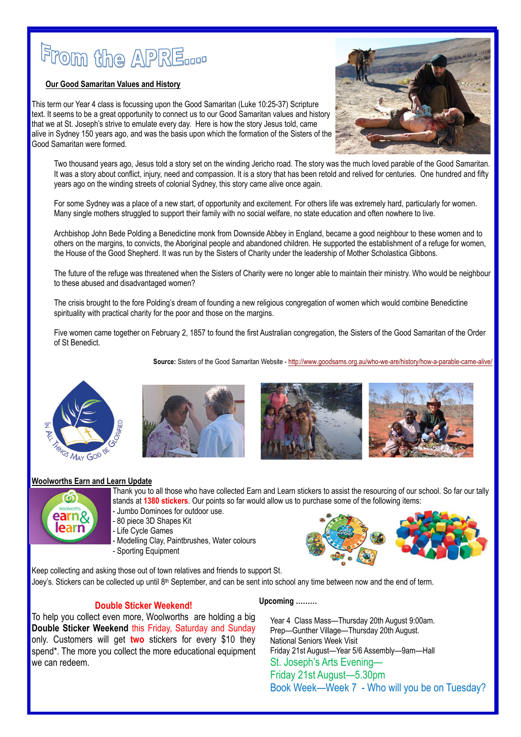# From the APRE...

#### **Our Good Samaritan Values and History**

This term our Year 4 class is focussing upon the Good Samaritan (Luke 10:25-37) Scripture text. It seems to be a great opportunity to connect us to our Good Samaritan values and history that we at St. Joseph's strive to emulate every day. Here is how the story Jesus told, came alive in Sydney 150 years ago, and was the basis upon which the formation of the Sisters of the Good Samaritan were formed.

Ī



Two thousand years ago, Jesus told a story set on the winding Jericho road. The story was the much loved parable of the Good Samaritan. It was a story about conflict, injury, need and compassion. It is a story that has been retold and relived for centuries. One hundred and fifty years ago on the winding streets of colonial Sydney, this story came alive once again.

For some Sydney was a place of a new start, of opportunity and excitement. For others life was extremely hard, particularly for women. Many single mothers struggled to support their family with no social welfare, no state education and often nowhere to live.

> Thank you to all those who have collected Earn and Learn stickers to assist the resourcing of our school. So far our tally stands at 1380 stickers. Our points so far would allow us to purchase some of the following items:

Archbishop John Bede Polding a Benedictine monk from Downside Abbey in England, became a good neighbour to these women and to others on the margins, to convicts, the Aboriginal people and abandoned children. He supported the establishment of a refuge for women, the House of the Good Shepherd. It was run by the Sisters of Charity under the leadership of Mother Scholastica Gibbons.

The future of the refuge was threatened when the Sisters of Charity were no longer able to maintain their ministry. Who would be neighbour to these abused and disadvantaged women?

The crisis brought to the fore Polding's dream of founding a new religious congregation of women which would combine Benedictine spirituality with practical charity for the poor and those on the margins.

Five women came together on February 2, 1857 to found the first Australian congregation, the Sisters of the Good Samaritan of the Order of St Benedict.

Source: Sisters of the Good Samaritan Website - http://www.goodsams.org.au/who-we-are/history/how-a-parable-came-alive/









#### Woolworths Earn and Learn Update



- Jumbo Dominoes for outdoor use.
- 80 piece 3D Shapes Kit
- Life Cycle Games
- Modelling Clay, Paintbrushes, Water colours
- Sporting Equipment









Keep collecting and asking those out of town relatives and friends to support St.

Joey's. Stickers can be collected up until 8<sup>th</sup> September, and can be sent into school any time between now and the end of term.

#### Double Sticker Weekend!

To help you collect even more, Woolworths are holding a big Double Sticker Weekend this Friday, Saturday and Sunday only. Customers will get two stickers for every \$10 they spend\*. The more you collect the more educational equipment we can redeem.

#### Upcoming ………

Year 4 Class Mass—Thursday 20th August 9:00am. Prep—Gunther Village—Thursday 20th August. National Seniors Week Visit Friday 21st August—Year 5/6 Assembly—9am—Hall St. Joseph's Arts Evening— Friday 21st August—5.30pm Book Week—Week 7 - Who will you be on Tuesday?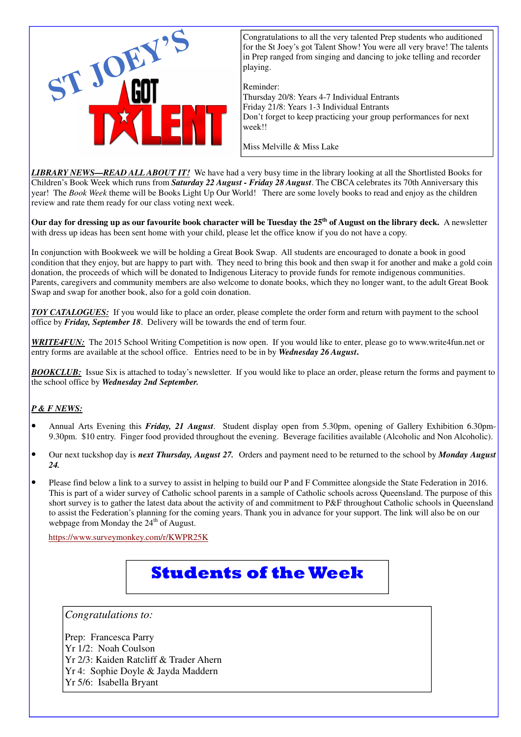*LIBRARY NEWS—READ ALL ABOUT IT!* We have had a very busy time in the library looking at all the Shortlisted Books for Children's Book Week which runs from *Saturday 22 August - Friday 28 August*. The CBCA celebrates its 70th Anniversary this year! The *Book Week* theme will be Books Light Up Our World! There are some lovely books to read and enjoy as the children review and rate them ready for our class voting next week.

**Our day for dressing up as our favourite book character will be Tuesday the 25th of August on the library deck.** A newsletter with dress up ideas has been sent home with your child, please let the office know if you do not have a copy.

- Annual Arts Evening this *Friday, 21 August*. Student display open from 5.30pm, opening of Gallery Exhibition 6.30pm-9.30pm. \$10 entry. Finger food provided throughout the evening. Beverage facilities available (Alcoholic and Non Alcoholic).
- Our next tuckshop day is *next Thursday, August 27.* Orders and payment need to be returned to the school by *Monday August 24.*
- Please find below a link to a survey to assist in helping to build our P and F Committee alongside the State Federation in 2016. This is part of a wider survey of Catholic school parents in a sample of Catholic schools across Queensland. The purpose of this short survey is to gather the latest data about the activity of and commitment to P&F throughout Catholic schools in Queensland to assist the Federation's planning for the coming years. Thank you in advance for your support. The link will also be on our webpage from Monday the  $24<sup>th</sup>$  of August.

In conjunction with Bookweek we will be holding a Great Book Swap. All students are encouraged to donate a book in good condition that they enjoy, but are happy to part with. They need to bring this book and then swap it for another and make a gold coin donation, the proceeds of which will be donated to Indigenous Literacy to provide funds for remote indigenous communities. Parents, caregivers and community members are also welcome to donate books, which they no longer want, to the adult Great Book Swap and swap for another book, also for a gold coin donation.

*TOY CATALOGUES:* If you would like to place an order, please complete the order form and return with payment to the school office by *Friday, September 18*. Delivery will be towards the end of term four.

*WRITE4FUN:* The 2015 School Writing Competition is now open. If you would like to enter, please go to www.write4fun.net or entry forms are available at the school office. Entries need to be in by *Wednesday 26 August***.**

*BOOKCLUB:* Issue Six is attached to today's newsletter. If you would like to place an order, please return the forms and payment to the school office by *Wednesday 2nd September.*

#### *P & F NEWS:*

https://www.surveymonkey.com/r/KWPR25K

## Students of the Week



for the St Joey's got Talent Show! You were all very brave! The talents in Prep ranged from singing and dancing to joke telling and recorder playing.

Reminder:

Thursday 20/8: Years 4-7 Individual Entrants Friday 21/8: Years 1-3 Individual Entrants Don't forget to keep practicing your group performances for next week!!

Miss Melville & Miss Lake

*Congratulations to:* 

Prep: Francesca Parry Yr 1/2: Noah Coulson Yr 2/3: Kaiden Ratcliff & Trader Ahern Yr 4: Sophie Doyle & Jayda Maddern Yr 5/6: Isabella Bryant